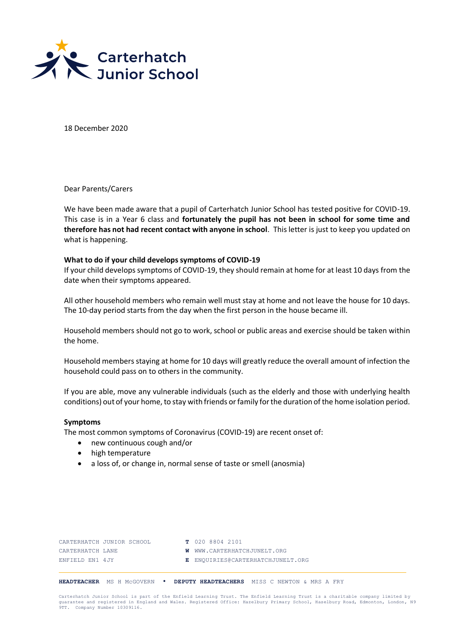

18 December 2020

Dear Parents/Carers

We have been made aware that a pupil of Carterhatch Junior School has tested positive for COVID-19. This case is in a Year 6 class and **fortunately the pupil has not been in school for some time and therefore has not had recent contact with anyone in school**. This letter is just to keep you updated on what is happening.

### **What to do if your child develops symptoms of COVID-19**

If your child develops symptoms of COVID-19, they should remain at home for at least 10 days from the date when their symptoms appeared.

All other household members who remain well must stay at home and not leave the house for 10 days. The 10-day period starts from the day when the first person in the house became ill.

Household members should not go to work, school or public areas and exercise should be taken within the home.

Household members staying at home for 10 days will greatly reduce the overall amount of infection the household could pass on to others in the community.

If you are able, move any vulnerable individuals (such as the elderly and those with underlying health conditions) out of your home, to stay with friends or family for the duration of the home isolation period.

### **Symptoms**

The most common symptoms of Coronavirus (COVID-19) are recent onset of:

- new continuous cough and/or
- high temperature
- a loss of, or change in, normal sense of taste or smell (anosmia)

| CARTERHATCH JUNIOR SCHOOL | T 020 8804 2101                    |
|---------------------------|------------------------------------|
| CARTERHATCH LANE          | <b>W</b> WWW.CARTERHATCHJUNELT.ORG |
| ENFIELD EN1 4JY           | E ENQUIRIES@CARTERHATCHJUNELT.ORG  |

**HEADTEACHER** MS H McGOVERN • **DEPUTY HEADTEACHERS** MISS C NEWTON & MRS A FRY

Carterhatch Junior School is part of the Enfield Learning Trust. The Enfield Learning Trust is a charitable company limited by<br>quarantee and reqistered in England and Wales. Registered Office: Hazelbury Primary School, Has 9th and registered in Engineer